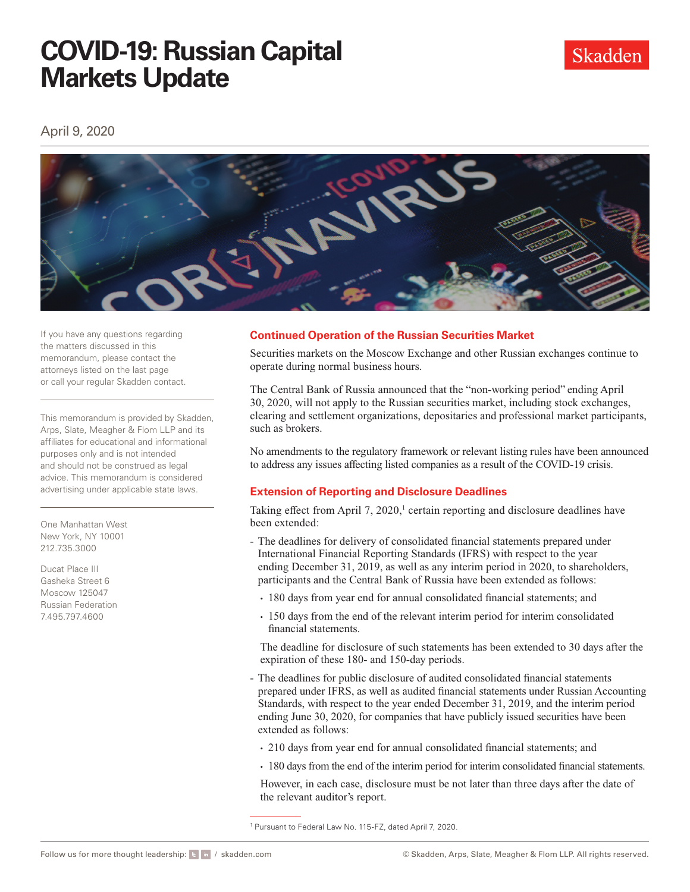# **COVID-19: Russian Capital Markets Update**

April 9, 2020



If you have any questions regarding the matters discussed in this memorandum, please contact the attorneys listed on the last page or call your regular Skadden contact.

This memorandum is provided by Skadden, Arps, Slate, Meagher & Flom LLP and its affiliates for educational and informational purposes only and is not intended and should not be construed as legal advice. This memorandum is considered advertising under applicable state laws.

One Manhattan West New York, NY 10001 212.735.3000

Ducat Place III Gasheka Street 6 Moscow 125047 Russian Federation 7.495.797.4600

### **Continued Operation of the Russian Securities Market**

Securities markets on the Moscow Exchange and other Russian exchanges continue to operate during normal business hours.

The Central Bank of Russia announced that the "non-working period" ending April 30, 2020, will not apply to the Russian securities market, including stock exchanges, clearing and settlement organizations, depositaries and professional market participants, such as brokers.

No amendments to the regulatory framework or relevant listing rules have been announced to address any issues afecting listed companies as a result of the COVID-19 crisis.

### **Extension of Reporting and Disclosure Deadlines**

Taking effect from April  $7, 2020$ ,<sup>1</sup> certain reporting and disclosure deadlines have been extended:

- The deadlines for delivery of consolidated fnancial statements prepared under International Financial Reporting Standards (IFRS) with respect to the year ending December 31, 2019, as well as any interim period in 2020, to shareholders, participants and the Central Bank of Russia have been extended as follows:
	- 180 days from year end for annual consolidated fnancial statements; and
	- 150 days from the end of the relevant interim period for interim consolidated fnancial statements.

The deadline for disclosure of such statements has been extended to 30 days after the expiration of these 180- and 150-day periods.

- The deadlines for public disclosure of audited consolidated fnancial statements prepared under IFRS, as well as audited fnancial statements under Russian Accounting Standards, with respect to the year ended December 31, 2019, and the interim period ending June 30, 2020, for companies that have publicly issued securities have been extended as follows:
	- 210 days from year end for annual consolidated fnancial statements; and
	- 180 days from the end of the interim period for interim consolidated fnancial statements.

However, in each case, disclosure must be not later than three days after the date of the relevant auditor's report.

<sup>1</sup> Pursuant to Federal Law No. 115-FZ, dated April 7, 2020.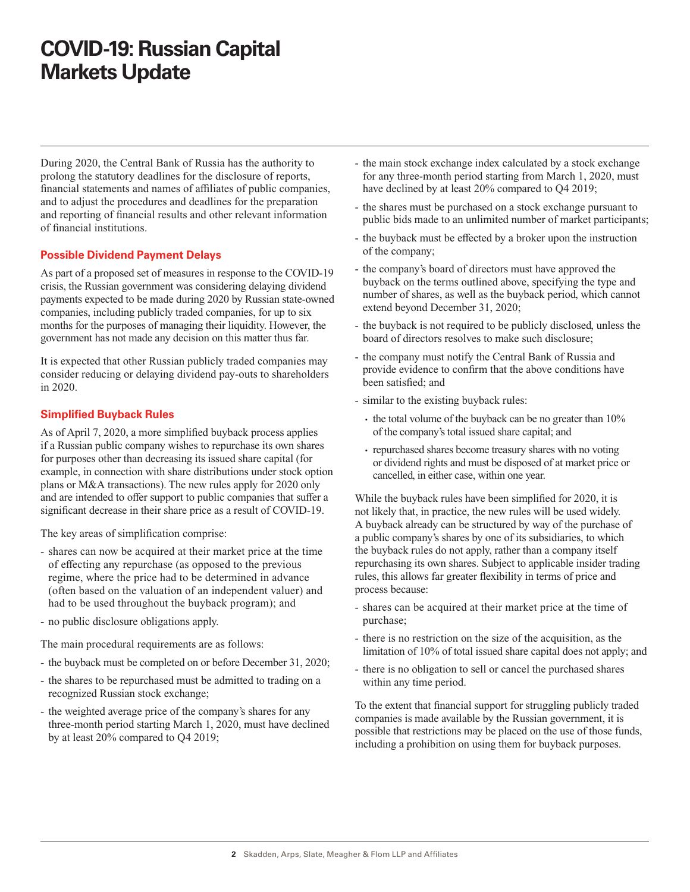## **COVID-19: Russian Capital Markets Update**

During 2020, the Central Bank of Russia has the authority to prolong the statutory deadlines for the disclosure of reports, fnancial statements and names of afliates of public companies, and to adjust the procedures and deadlines for the preparation and reporting of fnancial results and other relevant information of fnancial institutions.

### **Possible Dividend Payment Delays**

As part of a proposed set of measures in response to the COVID-19 crisis, the Russian government was considering delaying dividend payments expected to be made during 2020 by Russian state-owned companies, including publicly traded companies, for up to six months for the purposes of managing their liquidity. However, the government has not made any decision on this matter thus far.

It is expected that other Russian publicly traded companies may consider reducing or delaying dividend pay-outs to shareholders in 2020.

### **Simplifed Buyback Rules**

As of April 7, 2020, a more simplifed buyback process applies if a Russian public company wishes to repurchase its own shares for purposes other than decreasing its issued share capital (for example, in connection with share distributions under stock option plans or M&A transactions). The new rules apply for 2020 only and are intended to offer support to public companies that suffer a signifcant decrease in their share price as a result of COVID-19.

The key areas of simplifcation comprise:

- shares can now be acquired at their market price at the time of efecting any repurchase (as opposed to the previous regime, where the price had to be determined in advance (often based on the valuation of an independent valuer) and had to be used throughout the buyback program); and
- no public disclosure obligations apply.

The main procedural requirements are as follows:

- the buyback must be completed on or before December 31, 2020;
- the shares to be repurchased must be admitted to trading on a recognized Russian stock exchange;
- the weighted average price of the company's shares for any three-month period starting March 1, 2020, must have declined by at least 20% compared to Q4 2019;
- the main stock exchange index calculated by a stock exchange for any three-month period starting from March 1, 2020, must have declined by at least  $20\%$  compared to Q4 2019;
- the shares must be purchased on a stock exchange pursuant to public bids made to an unlimited number of market participants;
- the buyback must be efected by a broker upon the instruction of the company;
- the company's board of directors must have approved the buyback on the terms outlined above, specifying the type and number of shares, as well as the buyback period, which cannot extend beyond December 31, 2020;
- the buyback is not required to be publicly disclosed, unless the board of directors resolves to make such disclosure;
- the company must notify the Central Bank of Russia and provide evidence to confrm that the above conditions have been satisfed; and
- similar to the existing buyback rules:
	- the total volume of the buyback can be no greater than 10% of the company's total issued share capital; and
	- cancelled, in either case, within one year. • repurchased shares become treasury shares with no voting or dividend rights and must be disposed of at market price or

While the buyback rules have been simplifed for 2020, it is not likely that, in practice, the new rules will be used widely. A buyback already can be structured by way of the purchase of a public company's shares by one of its subsidiaries, to which the buyback rules do not apply, rather than a company itself repurchasing its own shares. Subject to applicable insider trading rules, this allows far greater fexibility in terms of price and process because:

- shares can be acquired at their market price at the time of purchase;
- there is no restriction on the size of the acquisition, as the limitation of 10% of total issued share capital does not apply; and
- there is no obligation to sell or cancel the purchased shares within any time period.

To the extent that fnancial support for struggling publicly traded companies is made available by the Russian government, it is possible that restrictions may be placed on the use of those funds, including a prohibition on using them for buyback purposes.